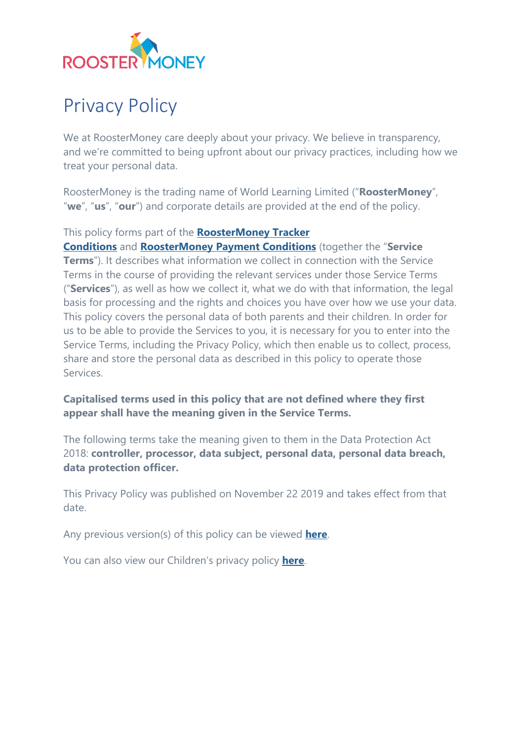

# Privacy Policy

We at RoosterMoney care deeply about your privacy. We believe in transparency, and we're committed to being upfront about our privacy practices, including how we treat your personal data.

RoosterMoney is the trading name of World Learning Limited ("**RoosterMoney**", "**we**", "**us**", "**our**") and corporate details are provided at the end of the policy.

#### This policy forms part of the **[RoosterMoney Tracker](https://www.roostermoney.com/terms/)**

**[Conditions](https://www.roostermoney.com/terms/)** and **[RoosterMoney Payment Conditions](https://www.roostermoney.com/payment-terms-and-conditions/)** (together the "**Service Terms**"). It describes what information we collect in connection with the Service Terms in the course of providing the relevant services under those Service Terms ("**Services**"), as well as how we collect it, what we do with that information, the legal basis for processing and the rights and choices you have over how we use your data. This policy covers the personal data of both parents and their children. In order for us to be able to provide the Services to you, it is necessary for you to enter into the Service Terms, including the Privacy Policy, which then enable us to collect, process, share and store the personal data as described in this policy to operate those Services.

#### **Capitalised terms used in this policy that are not defined where they first appear shall have the meaning given in the Service Terms.**

The following terms take the meaning given to them in the Data Protection Act 2018: **controller, processor, data subject, personal data, personal data breach, data protection officer.**

This Privacy Policy was published on November 22 2019 and takes effect from that date.

Any previous version(s) of this policy can be viewed **[here](https://www.roostermoney.com/wp-content/uploads/2019/11/RM-Privacy-Policy-Archived-20191122.pdf)**.

You can also view our Children's privacy policy **[here](https://roostermoney.com/feature/roostermoney-childrens-privacy-policy/)**.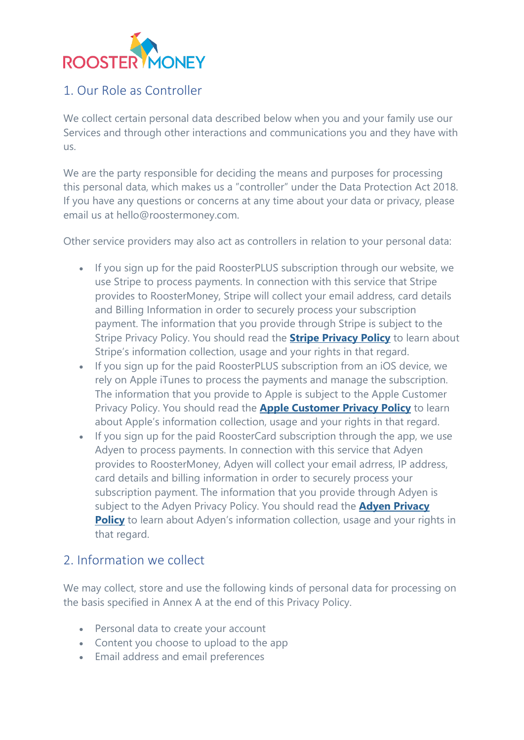

# 1. Our Role as Controller

We collect certain personal data described below when you and your family use our Services and through other interactions and communications you and they have with us.

We are the party responsible for deciding the means and purposes for processing this personal data, which makes us a "controller" under the Data Protection Act 2018. If you have any questions or concerns at any time about your data or privacy, please email us at hello@roostermoney.com.

Other service providers may also act as controllers in relation to your personal data:

- If you sign up for the paid RoosterPLUS subscription through our website, we use Stripe to process payments. In connection with this service that Stripe provides to RoosterMoney, Stripe will collect your email address, card details and Billing Information in order to securely process your subscription payment. The information that you provide through Stripe is subject to the Stripe Privacy Policy. You should read the **[Stripe Privacy Policy](https://stripe.com/privacy)** to learn about Stripe's information collection, usage and your rights in that regard.
- If you sign up for the paid RoosterPLUS subscription from an iOS device, we rely on Apple iTunes to process the payments and manage the subscription. The information that you provide to Apple is subject to the Apple Customer Privacy Policy. You should read the **[Apple Customer Privacy Policy](https://www.apple.com/uk/legal/privacy/en-ww/)** to learn about Apple's information collection, usage and your rights in that regard.
- If you sign up for the paid RoosterCard subscription through the app, we use Adyen to process payments. In connection with this service that Adyen provides to RoosterMoney, Adyen will collect your email adrress, IP address, card details and billing information in order to securely process your subscription payment. The information that you provide through Adyen is subject to the Adyen Privacy Policy. You should read the **[Adyen Privacy](https://www.adyen.com/policies-and-disclaimer/privacy-policy)  [Policy](https://www.adyen.com/policies-and-disclaimer/privacy-policy)** to learn about Adyen's information collection, usage and your rights in that regard.

### 2. Information we collect

We may collect, store and use the following kinds of personal data for processing on the basis specified in Annex A at the end of this Privacy Policy.

- Personal data to create your account
- Content you choose to upload to the app
- Email address and email preferences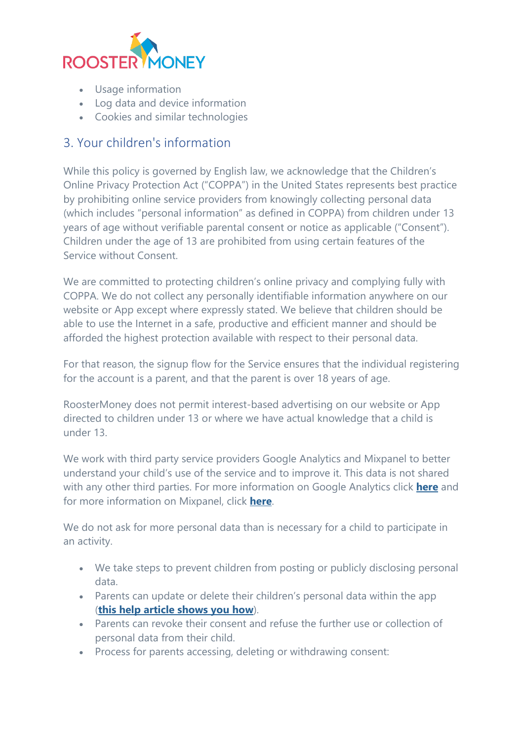

- Usage information
- Log data and device information
- Cookies and similar technologies

# 3. Your children's information

While this policy is governed by English law, we acknowledge that the Children's Online Privacy Protection Act ("COPPA") in the United States represents best practice by prohibiting online service providers from knowingly collecting personal data (which includes "personal information" as defined in COPPA) from children under 13 years of age without verifiable parental consent or notice as applicable ("Consent"). Children under the age of 13 are prohibited from using certain features of the Service without Consent.

We are committed to protecting children's online privacy and complying fully with COPPA. We do not collect any personally identifiable information anywhere on our website or App except where expressly stated. We believe that children should be able to use the Internet in a safe, productive and efficient manner and should be afforded the highest protection available with respect to their personal data.

For that reason, the signup flow for the Service ensures that the individual registering for the account is a parent, and that the parent is over 18 years of age.

RoosterMoney does not permit interest-based advertising on our website or App directed to children under 13 or where we have actual knowledge that a child is under 13.

We work with third party service providers Google Analytics and Mixpanel to better understand your child's use of the service and to improve it. This data is not shared with any other third parties. For more information on Google Analytics click **[here](https://www.google.com/intl/en/policies/privacy/)** and for more information on Mixpanel, click **[here](https://mixpanel.com/privacy/)**.

We do not ask for more personal data than is necessary for a child to participate in an activity.

- We take steps to prevent children from posting or publicly disclosing personal data.
- Parents can update or delete their children's personal data within the app (**[this help article shows you how](https://intercom.help/roostermoney/en/articles/2943116-making-changes-to-your-child-s-details)**).
- Parents can revoke their consent and refuse the further use or collection of personal data from their child.
- Process for parents accessing, deleting or withdrawing consent: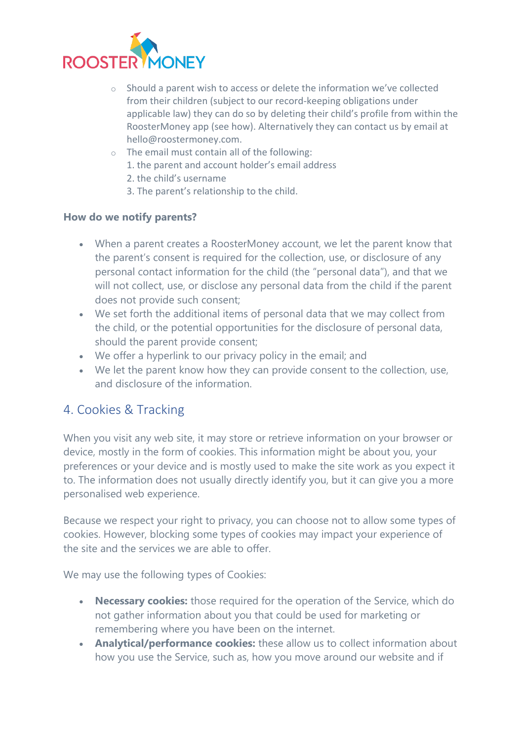

- o Should a parent wish to access or delete the information we've collected from their children (subject to our record-keeping obligations under applicable law) they can do so by deleting their child's profile from within the RoosterMoney app (see how). Alternatively they can contact us by email at hello@roostermoney.com.
- $\circ$  The email must contain all of the following:
	- 1. the parent and account holder's email address
	- 2. the child's username
	- 3. The parent's relationship to the child.

#### **How do we notify parents?**

- When a parent creates a RoosterMoney account, we let the parent know that the parent's consent is required for the collection, use, or disclosure of any personal contact information for the child (the "personal data"), and that we will not collect, use, or disclose any personal data from the child if the parent does not provide such consent;
- We set forth the additional items of personal data that we may collect from the child, or the potential opportunities for the disclosure of personal data, should the parent provide consent;
- We offer a hyperlink to our privacy policy in the email; and
- We let the parent know how they can provide consent to the collection, use, and disclosure of the information.

### 4. Cookies & Tracking

When you visit any web site, it may store or retrieve information on your browser or device, mostly in the form of cookies. This information might be about you, your preferences or your device and is mostly used to make the site work as you expect it to. The information does not usually directly identify you, but it can give you a more personalised web experience.

Because we respect your right to privacy, you can choose not to allow some types of cookies. However, blocking some types of cookies may impact your experience of the site and the services we are able to offer.

We may use the following types of Cookies:

- **Necessary cookies:** those required for the operation of the Service, which do not gather information about you that could be used for marketing or remembering where you have been on the internet.
- **Analytical/performance cookies:** these allow us to collect information about how you use the Service, such as, how you move around our website and if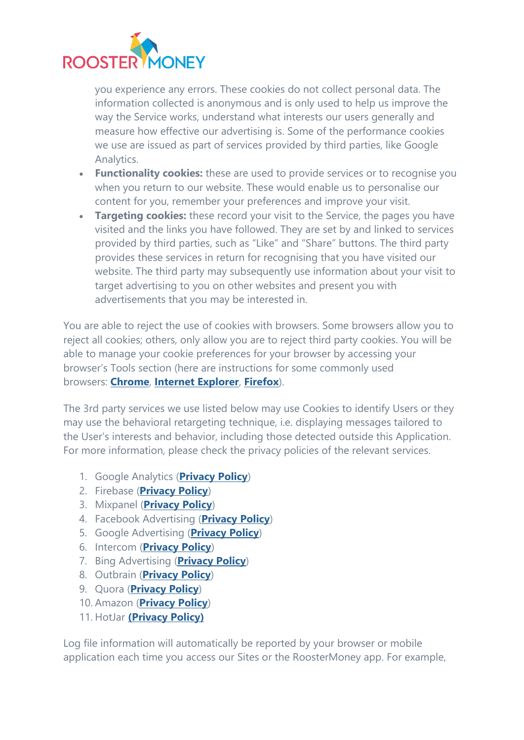

you experience any errors. These cookies do not collect personal data. The information collected is anonymous and is only used to help us improve the way the Service works, understand what interests our users generally and measure how effective our advertising is. Some of the performance cookies we use are issued as part of services provided by third parties, like Google Analytics.

- **Functionality cookies:** these are used to provide services or to recognise you when you return to our website. These would enable us to personalise our content for you, remember your preferences and improve your visit.
- **Targeting cookies:** these record your visit to the Service, the pages you have visited and the links you have followed. They are set by and linked to services provided by third parties, such as "Like" and "Share" buttons. The third party provides these services in return for recognising that you have visited our website. The third party may subsequently use information about your visit to target advertising to you on other websites and present you with advertisements that you may be interested in.

You are able to reject the use of cookies with browsers. Some browsers allow you to reject all cookies; others, only allow you are to reject third party cookies. You will be able to manage your cookie preferences for your browser by accessing your browser's Tools section (here are instructions for some commonly used browsers: **[Chrome](https://support.google.com/chrome/answer/95647?co=GENIE.Platform%3DDesktop&hl=en)**, **[Internet Explorer](https://support.microsoft.com/en-gb/help/17442/windows-internet-explorer-delete-manage-cookies)**, **[Firefox](https://support.mozilla.org/en-US/kb/enable-and-disable-cookies-website-preferences)**).

The 3rd party services we use listed below may use Cookies to identify Users or they may use the behavioral retargeting technique, i.e. displaying messages tailored to the User's interests and behavior, including those detected outside this Application. For more information, please check the privacy policies of the relevant services.

- 1. Google Analytics (**[Privacy Policy](https://www.google.com/policies/privacy/)**)
- 2. Firebase (**[Privacy Policy](https://firebase.google.com/support/privacy)**)
- 3. Mixpanel (**[Privacy Policy](https://mixpanel.com/privacy/)**)
- 4. Facebook Advertising (**[Privacy Policy](https://www.facebook.com/about/privacy/update)**)
- 5. Google Advertising (**[Privacy Policy](https://www.google.com/policies/technologies/ads/)**)
- 6. Intercom (**[Privacy Policy](https://www.intercom.com/terms-and-policies#privacy)**)
- 7. Bing Advertising (**[Privacy Policy](https://about.ads.microsoft.com/en-gb/resources/policies/user-safety-and-privacy-policies)**)
- 8. Outbrain (**[Privacy Policy](https://www.outbrain.com/legal/privacy)**)
- 9. Quora (**[Privacy Policy](https://www.quora.com/about/privacy)**)
- 10. Amazon (**[Privacy Policy](https://www.amazon.co.uk/gp/help/customer/display.html/ref=gss?nodeId=502584)**)
- 11. HotJar **[\(Privacy Policy\)](https://www.hotjar.com/legal/policies/privacy/)**

Log file information will automatically be reported by your browser or mobile application each time you access our Sites or the RoosterMoney app. For example,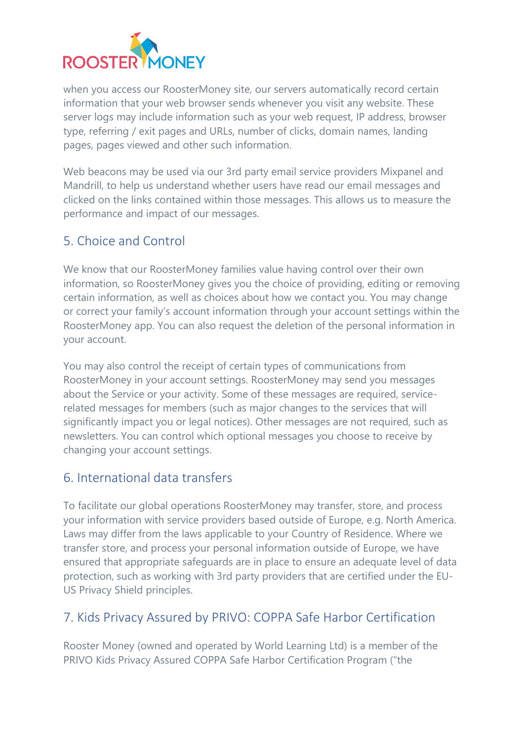

when you access our RoosterMoney site, our servers automatically record certain information that your web browser sends whenever you visit any website. These server logs may include information such as your web request, IP address, browser type, referring / exit pages and URLs, number of clicks, domain names, landing pages, pages viewed and other such information.

Web beacons may be used via our 3rd party email service providers Mixpanel and Mandrill, to help us understand whether users have read our email messages and clicked on the links contained within those messages. This allows us to measure the performance and impact of our messages.

# 5. Choice and Control

We know that our RoosterMoney families value having control over their own information, so RoosterMoney gives you the choice of providing, editing or removing certain information, as well as choices about how we contact you. You may change or correct your family's account information through your account settings within the RoosterMoney app. You can also request the deletion of the personal information in your account.

You may also control the receipt of certain types of communications from RoosterMoney in your account settings. RoosterMoney may send you messages about the Service or your activity. Some of these messages are required, servicerelated messages for members (such as major changes to the services that will significantly impact you or legal notices). Other messages are not required, such as newsletters. You can control which optional messages you choose to receive by changing your account settings.

# 6. International data transfers

To facilitate our global operations RoosterMoney may transfer, store, and process your information with service providers based outside of Europe, e.g. North America. Laws may differ from the laws applicable to your Country of Residence. Where we transfer store, and process your personal information outside of Europe, we have ensured that appropriate safeguards are in place to ensure an adequate level of data protection, such as working with 3rd party providers that are certified under the EU-US Privacy Shield principles.

# 7. Kids Privacy Assured by PRIVO: COPPA Safe Harbor Certification

Rooster Money (owned and operated by World Learning Ltd) is a member of the PRIVO Kids Privacy Assured COPPA Safe Harbor Certification Program ("the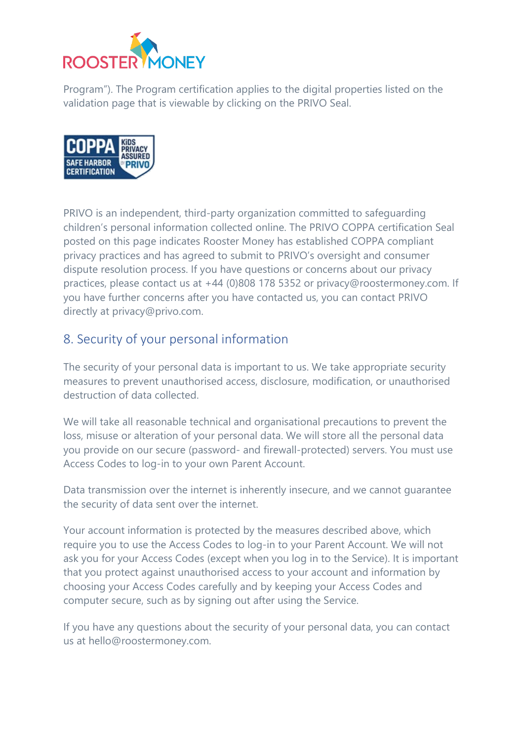

Program"). The Program certification applies to the digital properties listed on the validation page that is viewable by clicking on the PRIVO Seal.



PRIVO is an independent, third-party organization committed to safeguarding children's personal information collected online. The PRIVO COPPA certification Seal posted on this page indicates Rooster Money has established COPPA compliant privacy practices and has agreed to submit to PRIVO's oversight and consumer dispute resolution process. If you have questions or concerns about our privacy practices, please contact us at +44 (0)808 178 5352 or privacy@roostermoney.com. If you have further concerns after you have contacted us, you can contact PRIVO directly at privacy@privo.com.

# 8. Security of your personal information

The security of your personal data is important to us. We take appropriate security measures to prevent unauthorised access, disclosure, modification, or unauthorised destruction of data collected.

We will take all reasonable technical and organisational precautions to prevent the loss, misuse or alteration of your personal data. We will store all the personal data you provide on our secure (password- and firewall-protected) servers. You must use Access Codes to log-in to your own Parent Account.

Data transmission over the internet is inherently insecure, and we cannot guarantee the security of data sent over the internet.

Your account information is protected by the measures described above, which require you to use the Access Codes to log-in to your Parent Account. We will not ask you for your Access Codes (except when you log in to the Service). It is important that you protect against unauthorised access to your account and information by choosing your Access Codes carefully and by keeping your Access Codes and computer secure, such as by signing out after using the Service.

If you have any questions about the security of your personal data, you can contact us at hello@roostermoney.com.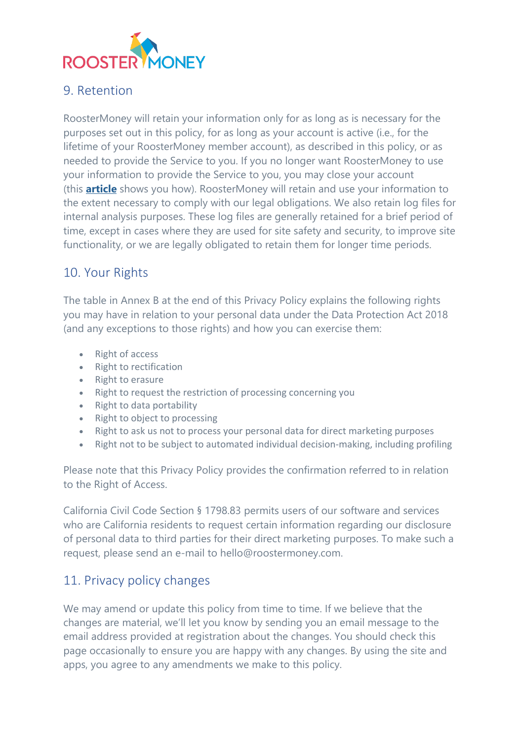

# 9. Retention

RoosterMoney will retain your information only for as long as is necessary for the purposes set out in this policy, for as long as your account is active (i.e., for the lifetime of your RoosterMoney member account), as described in this policy, or as needed to provide the Service to you. If you no longer want RoosterMoney to use your information to provide the Service to you, you may close your account (this **[article](https://intercom.help/roostermoney/en/articles/2943398-deleting-your-roostermoney-account)** shows you how). RoosterMoney will retain and use your information to the extent necessary to comply with our legal obligations. We also retain log files for internal analysis purposes. These log files are generally retained for a brief period of time, except in cases where they are used for site safety and security, to improve site functionality, or we are legally obligated to retain them for longer time periods.

## 10. Your Rights

The table in Annex B at the end of this Privacy Policy explains the following rights you may have in relation to your personal data under the Data Protection Act 2018 (and any exceptions to those rights) and how you can exercise them:

- Right of access
- Right to rectification
- Right to erasure
- Right to request the restriction of processing concerning you
- Right to data portability
- Right to object to processing
- Right to ask us not to process your personal data for direct marketing purposes
- Right not to be subject to automated individual decision-making, including profiling

Please note that this Privacy Policy provides the confirmation referred to in relation to the Right of Access.

California Civil Code Section § 1798.83 permits users of our software and services who are California residents to request certain information regarding our disclosure of personal data to third parties for their direct marketing purposes. To make such a request, please send an e-mail to hello@roostermoney.com.

# 11. Privacy policy changes

We may amend or update this policy from time to time. If we believe that the changes are material, we'll let you know by sending you an email message to the email address provided at registration about the changes. You should check this page occasionally to ensure you are happy with any changes. By using the site and apps, you agree to any amendments we make to this policy.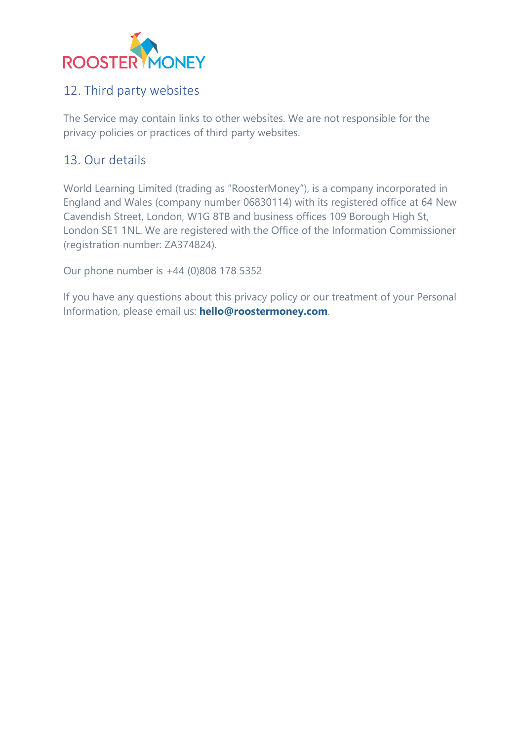

# 12. Third party websites

The Service may contain links to other websites. We are not responsible for the privacy policies or practices of third party websites.

# 13. Our details

World Learning Limited (trading as "RoosterMoney"), is a company incorporated in England and Wales (company number 06830114) with its registered office at 64 New Cavendish Street, London, W1G 8TB and business offices 109 Borough High St, London SE1 1NL. We are registered with the Office of the Information Commissioner (registration number: ZA374824).

Our phone number is +44 (0)808 178 5352

If you have any questions about this privacy policy or our treatment of your Personal Information, please email us: **[hello@roostermoney.com](mailto:hello@roostermoney.com)**.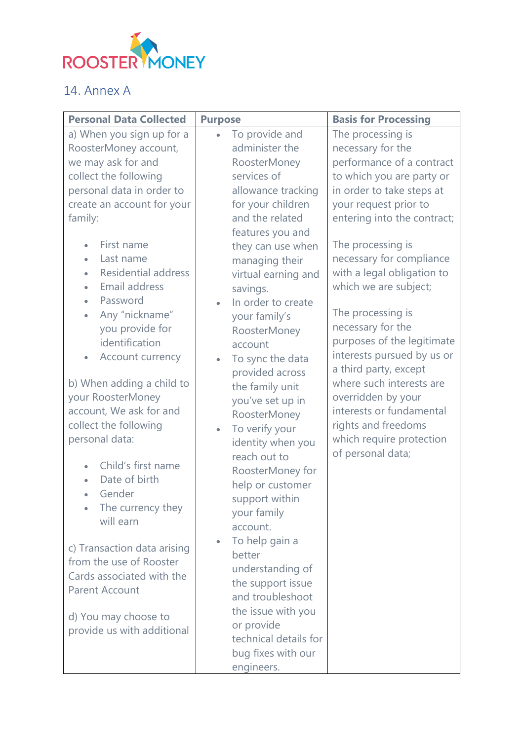

# 14. Annex A

| <b>Personal Data Collected</b>                                                                                                                                                                                                                                                                                                                                                                                                                                                                                                                                                                                                                                                                                                                                                                                                                 | <b>Purpose</b>                                                                                                                                                                                                                                                                                                                                                                                                                                                                                                                                                                                                                                                                                                                                                                        | <b>Basis for Processing</b>                                                                                                                                                                                                                                                                                                                                                                                                                                                                                                                                                        |
|------------------------------------------------------------------------------------------------------------------------------------------------------------------------------------------------------------------------------------------------------------------------------------------------------------------------------------------------------------------------------------------------------------------------------------------------------------------------------------------------------------------------------------------------------------------------------------------------------------------------------------------------------------------------------------------------------------------------------------------------------------------------------------------------------------------------------------------------|---------------------------------------------------------------------------------------------------------------------------------------------------------------------------------------------------------------------------------------------------------------------------------------------------------------------------------------------------------------------------------------------------------------------------------------------------------------------------------------------------------------------------------------------------------------------------------------------------------------------------------------------------------------------------------------------------------------------------------------------------------------------------------------|------------------------------------------------------------------------------------------------------------------------------------------------------------------------------------------------------------------------------------------------------------------------------------------------------------------------------------------------------------------------------------------------------------------------------------------------------------------------------------------------------------------------------------------------------------------------------------|
| a) When you sign up for a<br>RoosterMoney account,<br>we may ask for and<br>collect the following<br>personal data in order to<br>create an account for your<br>family:<br>First name<br>$\bullet$<br>Last name<br>$\bullet$<br><b>Residential address</b><br>$\bullet$<br>Email address<br>$\bullet$<br>Password<br>$\bullet$<br>Any "nickname"<br>$\bullet$<br>you provide for<br>identification<br>Account currency<br>$\bullet$<br>b) When adding a child to<br>your RoosterMoney<br>account, We ask for and<br>collect the following<br>personal data:<br>Child's first name<br>Date of birth<br>$\bullet$<br>Gender<br>$\bullet$<br>The currency they<br>will earn<br>c) Transaction data arising<br>from the use of Rooster<br>Cards associated with the<br><b>Parent Account</b><br>d) You may choose to<br>provide us with additional | To provide and<br>$\bullet$<br>administer the<br>RoosterMoney<br>services of<br>allowance tracking<br>for your children<br>and the related<br>features you and<br>they can use when<br>managing their<br>virtual earning and<br>savings.<br>In order to create<br>$\bullet$<br>your family's<br>RoosterMoney<br>account<br>To sync the data<br>$\bullet$<br>provided across<br>the family unit<br>you've set up in<br>RoosterMoney<br>To verify your<br>identity when you<br>reach out to<br>RoosterMoney for<br>help or customer<br>support within<br>your family<br>account.<br>To help gain a<br>$\bullet$<br>better<br>understanding of<br>the support issue<br>and troubleshoot<br>the issue with you<br>or provide<br>technical details for<br>bug fixes with our<br>engineers. | The processing is<br>necessary for the<br>performance of a contract<br>to which you are party or<br>in order to take steps at<br>your request prior to<br>entering into the contract;<br>The processing is<br>necessary for compliance<br>with a legal obligation to<br>which we are subject;<br>The processing is<br>necessary for the<br>purposes of the legitimate<br>interests pursued by us or<br>a third party, except<br>where such interests are<br>overridden by your<br>interests or fundamental<br>rights and freedoms<br>which require protection<br>of personal data; |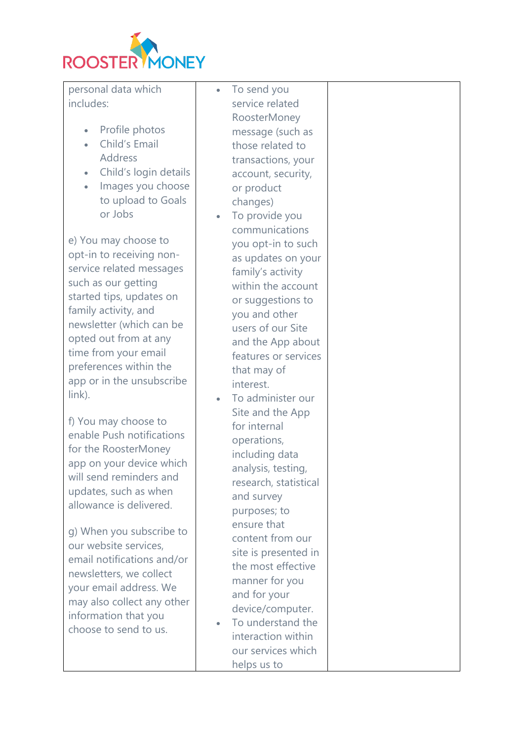

personal data which includes:

- Profile photos
- Child's Email Address
- Child's login details
- Images you choose to upload to Goals or Jobs

e) You may choose to opt-in to receiving nonservice related messages such as our getting started tips, updates on family activity, and newsletter (which can be opted out from at any time from your email preferences within the app or in the unsubscribe link).

f) You may choose to enable Push notifications for the RoosterMoney app on your device which will send reminders and updates, such as when allowance is delivered.

g) When you subscribe to our website services, email notifications and/or newsletters, we collect your email address. We may also collect any other information that you choose to send to us.

• To send you service related RoosterMoney message (such as those related to transactions, your account, security, or product changes)

- To provide you communications you opt-in to such as updates on your family's activity within the account or suggestions to you and other users of our Site and the App about features or services that may of interest.
- To administer our Site and the App for internal operations, including data analysis, testing, research, statistical and survey purposes; to ensure that content from our site is presented in the most effective manner for you and for your device/computer.
- To understand the interaction within our services which helps us to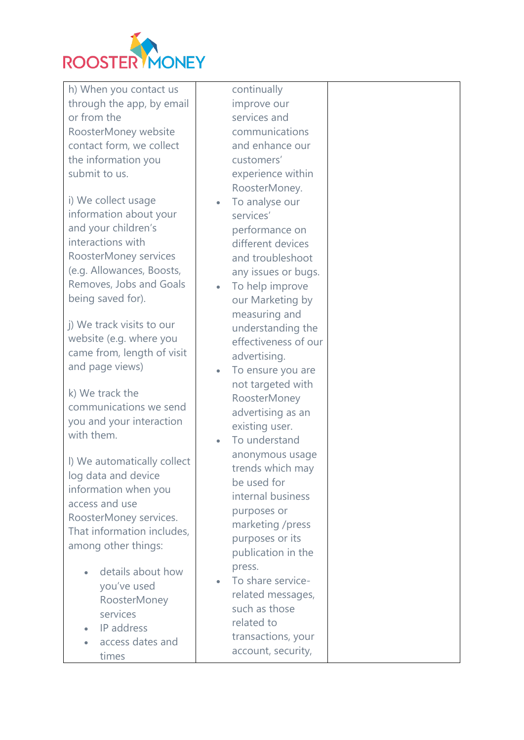

h) When you contact us through the app, by email or from the RoosterMoney website contact form, we collect the information you submit to us.

i) We collect usage information about your and your children's interactions with RoosterMoney services (e.g. Allowances, Boosts, Removes, Jobs and Goals being saved for).

j) We track visits to our website (e.g. where you came from, length of visit and page views)

k) We track the communications we send you and your interaction with them.

l) We automatically collect log data and device information when you access and use RoosterMoney services. That information includes, among other things:

- details about how you've used RoosterMoney services
- IP address • access dates and
	- times

continually improve our services and communications and enhance our customers' experience within RoosterMoney.

- To analyse our services' performance on different devices and troubleshoot any issues or bugs.
- To help improve our Marketing by measuring and understanding the effectiveness of our advertising.
- To ensure you are not targeted with RoosterMoney advertising as an existing user.
- To understand anonymous usage trends which may be used for internal business purposes or marketing /press purposes or its publication in the press.
- To share servicerelated messages, such as those related to transactions, your account, security,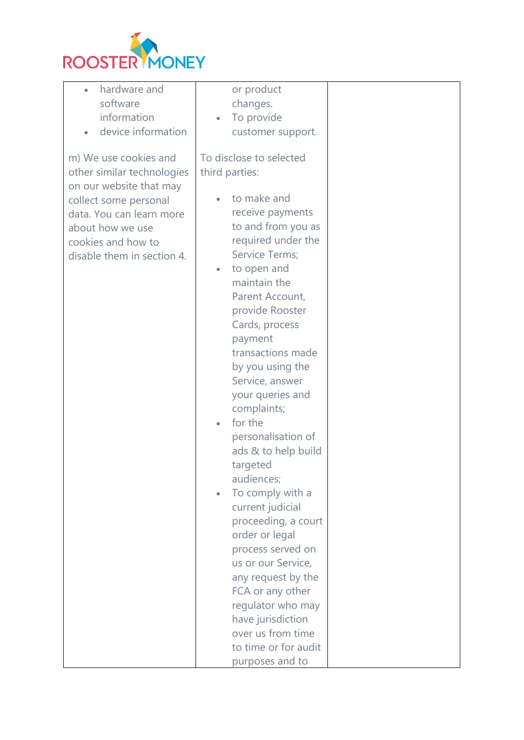

| hardware and<br>$\bullet$  | or product                    |  |
|----------------------------|-------------------------------|--|
| software                   | changes.                      |  |
| information                | To provide<br>$\bullet$       |  |
| device information         | customer support.             |  |
|                            |                               |  |
| m) We use cookies and      | To disclose to selected       |  |
| other similar technologies | third parties:                |  |
| on our website that may    |                               |  |
|                            | to make and                   |  |
| collect some personal      |                               |  |
| data. You can learn more   | receive payments              |  |
| about how we use           | to and from you as            |  |
| cookies and how to         | required under the            |  |
| disable them in section 4. | Service Terms;                |  |
|                            | to open and<br>$\bullet$      |  |
|                            | maintain the                  |  |
|                            | Parent Account,               |  |
|                            | provide Rooster               |  |
|                            | Cards, process                |  |
|                            | payment                       |  |
|                            | transactions made             |  |
|                            | by you using the              |  |
|                            | Service, answer               |  |
|                            | your queries and              |  |
|                            | complaints;                   |  |
|                            | for the                       |  |
|                            | personalisation of            |  |
|                            | ads & to help build           |  |
|                            | targeted                      |  |
|                            | audiences;                    |  |
|                            |                               |  |
|                            | To comply with a<br>$\bullet$ |  |
|                            | current judicial              |  |
|                            | proceeding, a court           |  |
|                            | order or legal                |  |
|                            | process served on             |  |
|                            | us or our Service,            |  |
|                            | any request by the            |  |
|                            | FCA or any other              |  |
|                            | regulator who may             |  |
|                            | have jurisdiction             |  |
|                            | over us from time             |  |
|                            | to time or for audit          |  |
|                            | purposes and to               |  |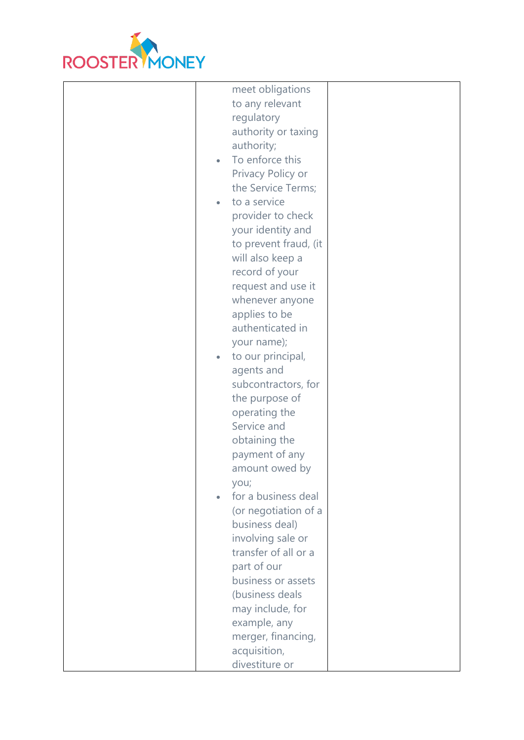

| meet obligations               |  |
|--------------------------------|--|
| to any relevant                |  |
| regulatory                     |  |
|                                |  |
| authority or taxing            |  |
| authority;                     |  |
| To enforce this<br>$\bullet$   |  |
| Privacy Policy or              |  |
| the Service Terms;             |  |
| to a service<br>$\bullet$      |  |
| provider to check              |  |
| your identity and              |  |
| to prevent fraud, (it          |  |
|                                |  |
| will also keep a               |  |
| record of your                 |  |
| request and use it             |  |
| whenever anyone                |  |
| applies to be                  |  |
| authenticated in               |  |
| your name);                    |  |
| to our principal,<br>$\bullet$ |  |
| agents and                     |  |
| subcontractors, for            |  |
| the purpose of                 |  |
| operating the                  |  |
| Service and                    |  |
|                                |  |
| obtaining the                  |  |
| payment of any                 |  |
| amount owed by                 |  |
| you;                           |  |
| for a business deal            |  |
| (or negotiation of a           |  |
| business deal)                 |  |
| involving sale or              |  |
| transfer of all or a           |  |
| part of our                    |  |
| business or assets             |  |
| (business deals                |  |
|                                |  |
| may include, for               |  |
| example, any                   |  |
| merger, financing,             |  |
| acquisition,                   |  |
| divestiture or                 |  |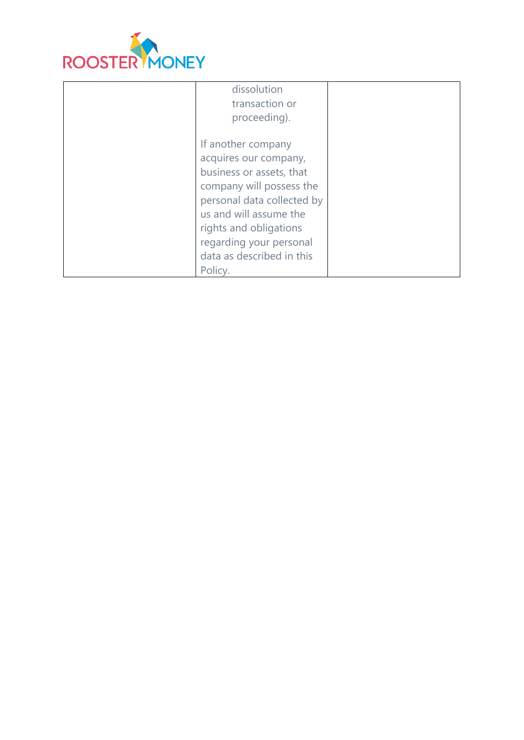

| dissolution<br>transaction or<br>proceeding).                                                                                                                                                                                                           |  |
|---------------------------------------------------------------------------------------------------------------------------------------------------------------------------------------------------------------------------------------------------------|--|
| If another company<br>acquires our company,<br>business or assets, that<br>company will possess the<br>personal data collected by<br>us and will assume the<br>rights and obligations<br>regarding your personal<br>data as described in this<br>Policy |  |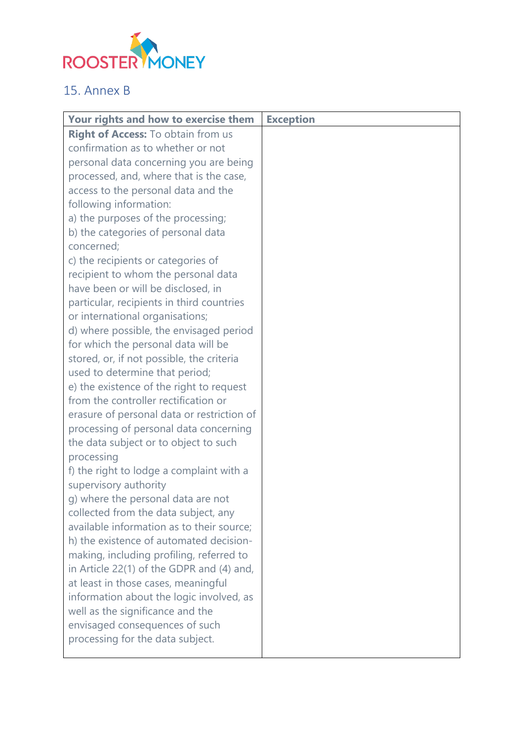

# 15. Annex B

| <b>Your rights and how to exercise them</b> | <b>Exception</b> |
|---------------------------------------------|------------------|
| <b>Right of Access: To obtain from us</b>   |                  |
| confirmation as to whether or not           |                  |
| personal data concerning you are being      |                  |
| processed, and, where that is the case,     |                  |
| access to the personal data and the         |                  |
| following information:                      |                  |
| a) the purposes of the processing;          |                  |
| b) the categories of personal data          |                  |
| concerned;                                  |                  |
| c) the recipients or categories of          |                  |
| recipient to whom the personal data         |                  |
| have been or will be disclosed, in          |                  |
| particular, recipients in third countries   |                  |
| or international organisations;             |                  |
| d) where possible, the envisaged period     |                  |
| for which the personal data will be         |                  |
| stored, or, if not possible, the criteria   |                  |
| used to determine that period;              |                  |
| e) the existence of the right to request    |                  |
| from the controller rectification or        |                  |
| erasure of personal data or restriction of  |                  |
| processing of personal data concerning      |                  |
| the data subject or to object to such       |                  |
| processing                                  |                  |
| f) the right to lodge a complaint with a    |                  |
| supervisory authority                       |                  |
| g) where the personal data are not          |                  |
| collected from the data subject, any        |                  |
| available information as to their source;   |                  |
| h) the existence of automated decision-     |                  |
| making, including profiling, referred to    |                  |
| in Article 22(1) of the GDPR and (4) and,   |                  |
| at least in those cases, meaningful         |                  |
| information about the logic involved, as    |                  |
| well as the significance and the            |                  |
| envisaged consequences of such              |                  |
| processing for the data subject.            |                  |
|                                             |                  |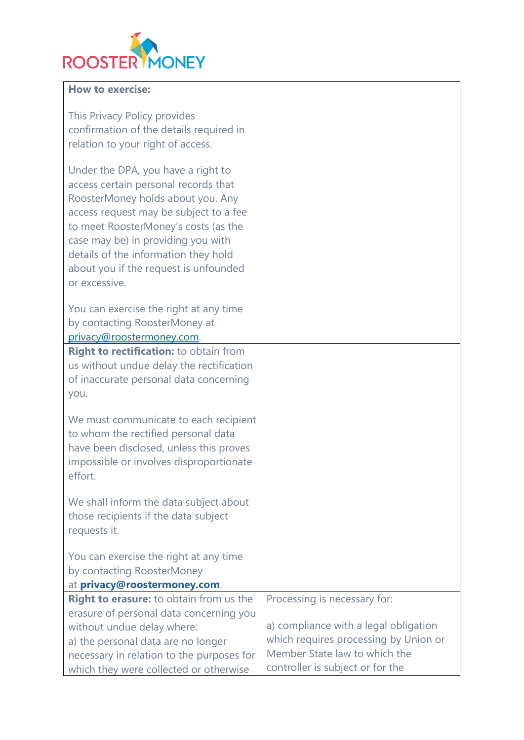

### **How to exercise:**

| This Privacy Policy provides<br>confirmation of the details required in<br>relation to your right of access.                                                                                                                                                                                                                              |                                       |
|-------------------------------------------------------------------------------------------------------------------------------------------------------------------------------------------------------------------------------------------------------------------------------------------------------------------------------------------|---------------------------------------|
| Under the DPA, you have a right to<br>access certain personal records that<br>RoosterMoney holds about you. Any<br>access request may be subject to a fee<br>to meet RoosterMoney's costs (as the<br>case may be) in providing you with<br>details of the information they hold<br>about you if the request is unfounded<br>or excessive. |                                       |
| You can exercise the right at any time<br>by contacting RoosterMoney at<br>privacy@roostermoney.com.                                                                                                                                                                                                                                      |                                       |
| Right to rectification: to obtain from<br>us without undue delay the rectification<br>of inaccurate personal data concerning<br>you.                                                                                                                                                                                                      |                                       |
| We must communicate to each recipient<br>to whom the rectified personal data<br>have been disclosed, unless this proves<br>impossible or involves disproportionate<br>effort.                                                                                                                                                             |                                       |
| We shall inform the data subject about<br>those recipients if the data subject<br>requests it.                                                                                                                                                                                                                                            |                                       |
| You can exercise the right at any time<br>by contacting RoosterMoney<br>at privacy@roostermoney.com.                                                                                                                                                                                                                                      |                                       |
| Right to erasure: to obtain from us the                                                                                                                                                                                                                                                                                                   | Processing is necessary for:          |
| erasure of personal data concerning you                                                                                                                                                                                                                                                                                                   |                                       |
| without undue delay where:                                                                                                                                                                                                                                                                                                                | a) compliance with a legal obligation |
| a) the personal data are no longer                                                                                                                                                                                                                                                                                                        | which requires processing by Union or |
| necessary in relation to the purposes for                                                                                                                                                                                                                                                                                                 | Member State law to which the         |
| which they were collected or otherwise                                                                                                                                                                                                                                                                                                    | controller is subject or for the      |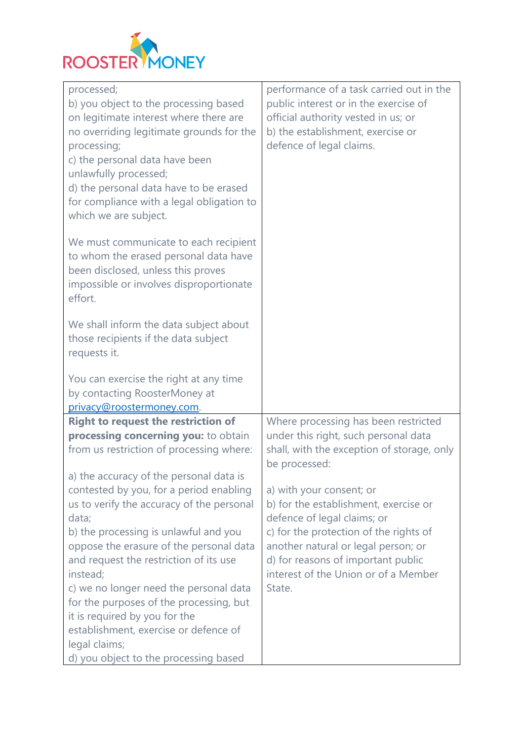

| processed;<br>b) you object to the processing based<br>on legitimate interest where there are<br>no overriding legitimate grounds for the<br>processing;<br>c) the personal data have been<br>unlawfully processed;<br>d) the personal data have to be erased<br>for compliance with a legal obligation to<br>which we are subject.                                     | performance of a task carried out in the<br>public interest or in the exercise of<br>official authority vested in us; or<br>b) the establishment, exercise or<br>defence of legal claims.                                                                                 |
|-------------------------------------------------------------------------------------------------------------------------------------------------------------------------------------------------------------------------------------------------------------------------------------------------------------------------------------------------------------------------|---------------------------------------------------------------------------------------------------------------------------------------------------------------------------------------------------------------------------------------------------------------------------|
| We must communicate to each recipient<br>to whom the erased personal data have<br>been disclosed, unless this proves<br>impossible or involves disproportionate<br>effort.                                                                                                                                                                                              |                                                                                                                                                                                                                                                                           |
| We shall inform the data subject about<br>those recipients if the data subject<br>requests it.                                                                                                                                                                                                                                                                          |                                                                                                                                                                                                                                                                           |
| You can exercise the right at any time<br>by contacting RoosterMoney at<br>privacy@roostermoney.com.                                                                                                                                                                                                                                                                    |                                                                                                                                                                                                                                                                           |
| <b>Right to request the restriction of</b><br>processing concerning you: to obtain<br>from us restriction of processing where:                                                                                                                                                                                                                                          | Where processing has been restricted<br>under this right, such personal data<br>shall, with the exception of storage, only<br>be processed:                                                                                                                               |
| a) the accuracy of the personal data is<br>contested by you, for a period enabling<br>us to verify the accuracy of the personal<br>data;<br>b) the processing is unlawful and you<br>oppose the erasure of the personal data<br>and request the restriction of its use<br>instead;<br>c) we no longer need the personal data<br>for the purposes of the processing, but | a) with your consent; or<br>b) for the establishment, exercise or<br>defence of legal claims; or<br>c) for the protection of the rights of<br>another natural or legal person; or<br>d) for reasons of important public<br>interest of the Union or of a Member<br>State. |
| it is required by you for the<br>establishment, exercise or defence of<br>legal claims;<br>d) you object to the processing based                                                                                                                                                                                                                                        |                                                                                                                                                                                                                                                                           |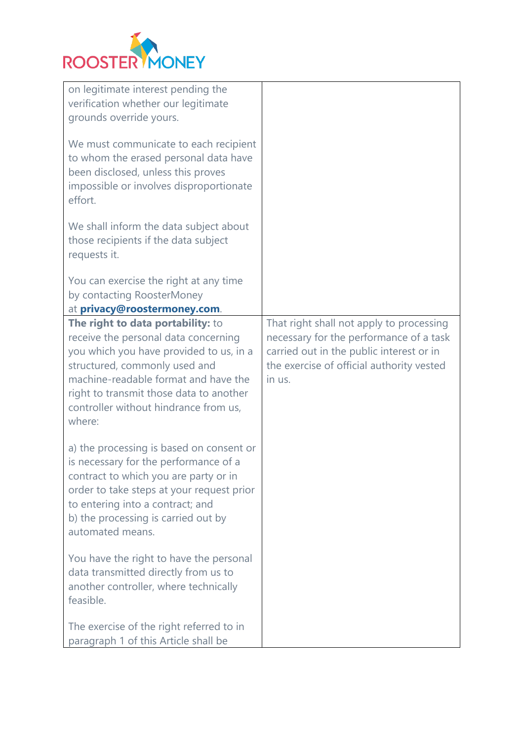

| on legitimate interest pending the<br>verification whether our legitimate<br>grounds override yours.<br>We must communicate to each recipient<br>to whom the erased personal data have<br>been disclosed, unless this proves<br>impossible or involves disproportionate<br>effort.<br>We shall inform the data subject about<br>those recipients if the data subject<br>requests it. |                                                                                                                                                                                        |
|--------------------------------------------------------------------------------------------------------------------------------------------------------------------------------------------------------------------------------------------------------------------------------------------------------------------------------------------------------------------------------------|----------------------------------------------------------------------------------------------------------------------------------------------------------------------------------------|
| You can exercise the right at any time<br>by contacting RoosterMoney<br>at privacy@roostermoney.com.                                                                                                                                                                                                                                                                                 |                                                                                                                                                                                        |
| The right to data portability: to<br>receive the personal data concerning<br>you which you have provided to us, in a<br>structured, commonly used and<br>machine-readable format and have the<br>right to transmit those data to another<br>controller without hindrance from us,<br>where:                                                                                          | That right shall not apply to processing<br>necessary for the performance of a task<br>carried out in the public interest or in<br>the exercise of official authority vested<br>in us. |
| a) the processing is based on consent or<br>is necessary for the performance of a<br>contract to which you are party or in<br>order to take steps at your request prior<br>to entering into a contract; and<br>b) the processing is carried out by<br>automated means.                                                                                                               |                                                                                                                                                                                        |
| You have the right to have the personal<br>data transmitted directly from us to<br>another controller, where technically<br>feasible.                                                                                                                                                                                                                                                |                                                                                                                                                                                        |
| The exercise of the right referred to in<br>paragraph 1 of this Article shall be                                                                                                                                                                                                                                                                                                     |                                                                                                                                                                                        |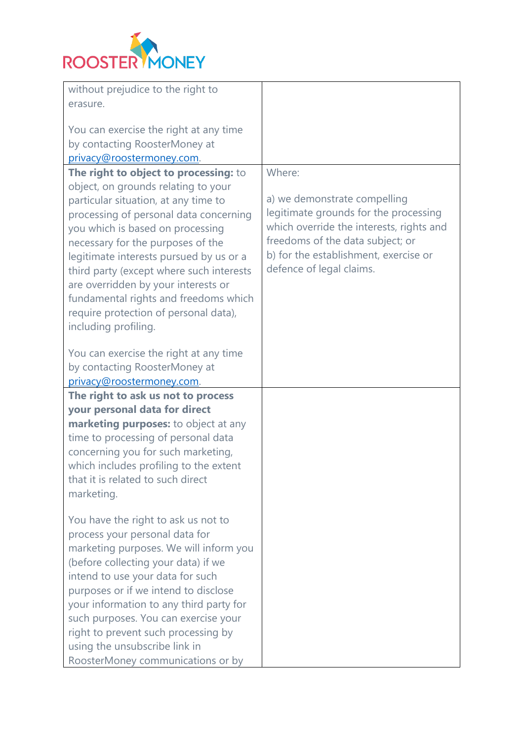

| without prejudice to the right to        |                                          |
|------------------------------------------|------------------------------------------|
| erasure.                                 |                                          |
|                                          |                                          |
| You can exercise the right at any time   |                                          |
| by contacting RoosterMoney at            |                                          |
| privacy@roostermoney.com.                |                                          |
| The right to object to processing: to    | Where:                                   |
| object, on grounds relating to your      |                                          |
| particular situation, at any time to     | a) we demonstrate compelling             |
| processing of personal data concerning   | legitimate grounds for the processing    |
| you which is based on processing         | which override the interests, rights and |
| necessary for the purposes of the        | freedoms of the data subject; or         |
| legitimate interests pursued by us or a  | b) for the establishment, exercise or    |
| third party (except where such interests | defence of legal claims.                 |
| are overridden by your interests or      |                                          |
| fundamental rights and freedoms which    |                                          |
| require protection of personal data),    |                                          |
| including profiling.                     |                                          |
| You can exercise the right at any time   |                                          |
| by contacting RoosterMoney at            |                                          |
| privacy@roostermoney.com.                |                                          |
| The right to ask us not to process       |                                          |
| your personal data for direct            |                                          |
| marketing purposes: to object at any     |                                          |
| time to processing of personal data      |                                          |
| concerning you for such marketing,       |                                          |
| which includes profiling to the extent   |                                          |
| that it is related to such direct        |                                          |
| marketing.                               |                                          |
|                                          |                                          |
| You have the right to ask us not to      |                                          |
| process your personal data for           |                                          |
| marketing purposes. We will inform you   |                                          |
| (before collecting your data) if we      |                                          |
| intend to use your data for such         |                                          |
| purposes or if we intend to disclose     |                                          |
| your information to any third party for  |                                          |
| such purposes. You can exercise your     |                                          |
| right to prevent such processing by      |                                          |
| using the unsubscribe link in            |                                          |
| RoosterMoney communications or by        |                                          |